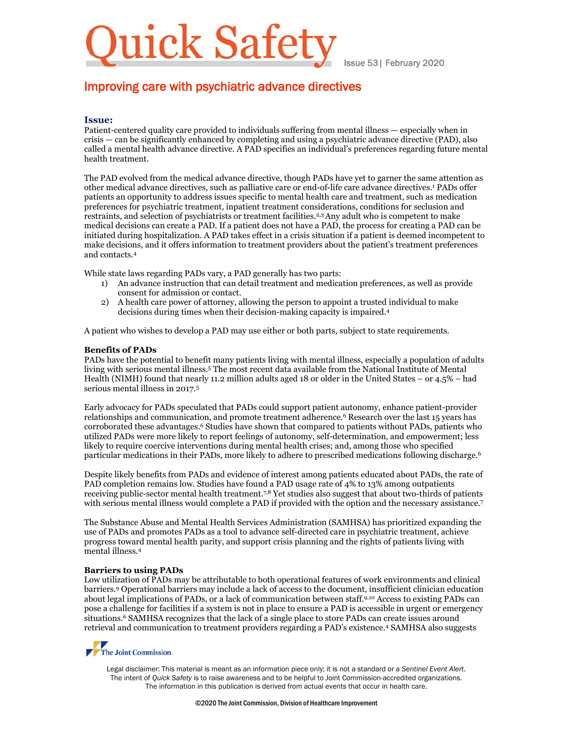# lick Safet

Issue 53| February 2020

## Improving care with psychiatric advance directives

### **Issue:**

Patient-centered quality care provided to individuals suffering from mental illness — especially when in crisis — can be significantly enhanced by completing and using a psychiatric advance directive (PAD), also called a mental health advance directive. A PAD specifies an individual's preferences regarding future mental health treatment.

The PAD evolved from the medical advance directive, though PADs have yet to garner the same attention as other medical advance directives, such as palliative care or end-of-life care advance directives.1 PADs offer patients an opportunity to address issues specific to mental health care and treatment, such as medication preferences for psychiatric treatment, inpatient treatment considerations, conditions for seclusion and restraints, and selection of psychiatrists or treatment facilities.2,3Any adult who is competent to make medical decisions can create a PAD. If a patient does not have a PAD, the process for creating a PAD can be initiated during hospitalization. A PAD takes effect in a crisis situation if a patient is deemed incompetent to make decisions, and it offers information to treatment providers about the patient's treatment preferences and contacts.4

While state laws regarding PADs vary, a PAD generally has two parts:

- 1) An advance instruction that can detail treatment and medication preferences, as well as provide consent for admission or contact.
- 2) A health care power of attorney, allowing the person to appoint a trusted individual to make decisions during times when their decision-making capacity is impaired.4

A patient who wishes to develop a PAD may use either or both parts, subject to state requirements.

#### **Benefits of PADs**

PADs have the potential to benefit many patients living with mental illness, especially a population of adults living with serious mental illness. <sup>5</sup> The most recent data available from the National Institute of Mental Health (NIMH) found that nearly 11.2 million adults aged 18 or older in the United States – or 4.5% – had serious mental illness in 2017.5

Early advocacy for PADs speculated that PADs could support patient autonomy, enhance patient-provider relationships and communication, and promote treatment adherence.6 Research over the last 15 years has corroborated these advantages.6 Studies have shown that compared to patients without PADs, patients who utilized PADs were more likely to report feelings of autonomy, self-determination, and empowerment; less likely to require coercive interventions during mental health crises; and, among those who specified particular medications in their PADs, more likely to adhere to prescribed medications following discharge.6

Despite likely benefits from PADs and evidence of interest among patients educated about PADs, the rate of PAD completion remains low. Studies have found a PAD usage rate of 4% to 13% among outpatients receiving public-sector mental health treatment.7,8 Yet studies also suggest that about two-thirds of patients with serious mental illness would complete a PAD if provided with the option and the necessary assistance.7

The Substance Abuse and Mental Health Services Administration (SAMHSA) has prioritized expanding the use of PADs and promotes PADs as a tool to advance self-directed care in psychiatric treatment, achieve progress toward mental health parity, and support crisis planning and the rights of patients living with mental illness.4

### **Barriers to using PADs**

Low utilization of PADs may be attributable to both operational features of work environments and clinical barriers.9 Operational barriers may include a lack of access to the document, insufficient clinician education about legal implications of PADs, or a lack of communication between staff.9,10 Access to existing PADs can pose a challenge for facilities if a system is not in place to ensure a PAD is accessible in urgent or emergency situations.<sup>6</sup> SAMHSA recognizes that the lack of a single place to store PADs can create issues around retrieval and communication to treatment providers regarding a PAD's existence.4 SAMHSA also suggests



Legal disclaimer: This material is meant as an information piece only; it is not a standard or a *Sentinel Event Alert*. The intent of *Quick Safety* is to raise awareness and to be helpful to Joint Commission-accredited organizations. The information in this publication is derived from actual events that occur in health care.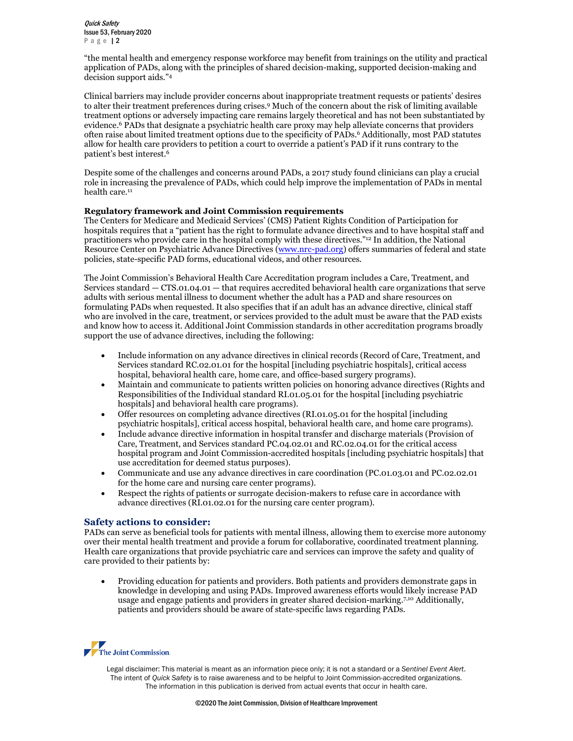Quick Safety Issue 53, February 2020 Page 12

"the mental health and emergency response workforce may benefit from trainings on the utility and practical application of PADs, along with the principles of shared decision-making, supported decision-making and decision support aids."4

Clinical barriers may include provider concerns about inappropriate treatment requests or patients' desires to alter their treatment preferences during crises.9 Much of the concern about the risk of limiting available treatment options or adversely impacting care remains largely theoretical and has not been substantiated by evidence.6 PADs that designate a psychiatric health care proxy may help alleviate concerns that providers often raise about limited treatment options due to the specificity of PADs.6 Additionally, most PAD statutes allow for health care providers to petition a court to override a patient's PAD if it runs contrary to the patient's best interest.6

Despite some of the challenges and concerns around PADs, a 2017 study found clinicians can play a crucial role in increasing the prevalence of PADs, which could help improve the implementation of PADs in mental health care.<sup>11</sup>

#### **Regulatory framework and Joint Commission requirements**

The Centers for Medicare and Medicaid Services' (CMS) Patient Rights Condition of Participation for hospitals requires that a "patient has the right to formulate advance directives and to have hospital staff and practitioners who provide care in the hospital comply with these directives."12 In addition, the National Resource Center on Psychiatric Advance Directives (www.nrc-pad.org) offers summaries of federal and state policies, state-specific PAD forms, educational videos, and other resources.

The Joint Commission's Behavioral Health Care Accreditation program includes a Care, Treatment, and Services standard — CTS.01.04.01 — that requires accredited behavioral health care organizations that serve adults with serious mental illness to document whether the adult has a PAD and share resources on formulating PADs when requested. It also specifies that if an adult has an advance directive, clinical staff who are involved in the care, treatment, or services provided to the adult must be aware that the PAD exists and know how to access it. Additional Joint Commission standards in other accreditation programs broadly support the use of advance directives, including the following:

- Include information on any advance directives in clinical records (Record of Care, Treatment, and Services standard RC.02.01.01 for the hospital [including psychiatric hospitals], critical access hospital, behavioral health care, home care, and office-based surgery programs).
- Maintain and communicate to patients written policies on honoring advance directives (Rights and Responsibilities of the Individual standard RI.01.05.01 for the hospital [including psychiatric hospitals] and behavioral health care programs).
- Offer resources on completing advance directives (RI.01.05.01 for the hospital [including psychiatric hospitals], critical access hospital, behavioral health care, and home care programs).
- Include advance directive information in hospital transfer and discharge materials (Provision of Care, Treatment, and Services standard PC.04.02.01 and RC.02.04.01 for the critical access hospital program and Joint Commission-accredited hospitals [including psychiatric hospitals] that use accreditation for deemed status purposes).
- Communicate and use any advance directives in care coordination (PC.01.03.01 and PC.02.02.01 for the home care and nursing care center programs).
- Respect the rights of patients or surrogate decision-makers to refuse care in accordance with advance directives (RI.01.02.01 for the nursing care center program).

### **Safety actions to consider:**

PADs can serve as beneficial tools for patients with mental illness, allowing them to exercise more autonomy over their mental health treatment and provide a forum for collaborative, coordinated treatment planning. Health care organizations that provide psychiatric care and services can improve the safety and quality of care provided to their patients by:

• Providing education for patients and providers. Both patients and providers demonstrate gaps in knowledge in developing and using PADs. Improved awareness efforts would likely increase PAD usage and engage patients and providers in greater shared decision-marking.7,10 Additionally, patients and providers should be aware of state-specific laws regarding PADs.



Legal disclaimer: This material is meant as an information piece only; it is not a standard or a *Sentinel Event Alert*. The intent of *Quick Safety* is to raise awareness and to be helpful to Joint Commission-accredited organizations. The information in this publication is derived from actual events that occur in health care.